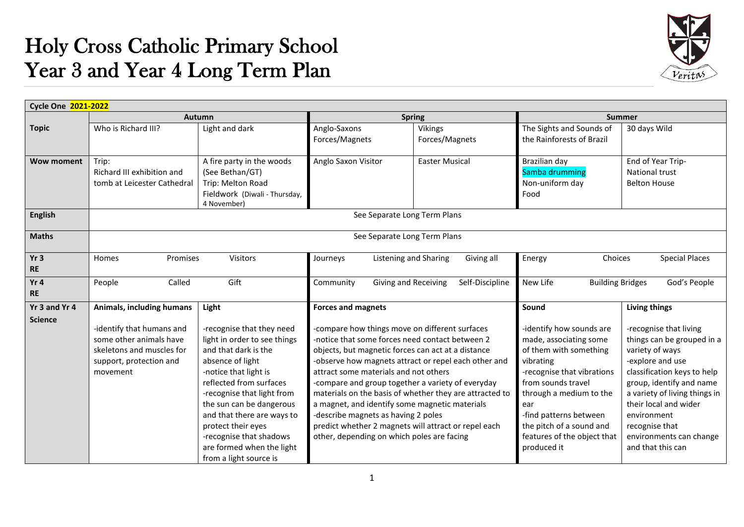## Holy Cross Catholic Primary School Year 3 and Year 4 Long Term Plan



| <b>Cycle One 2021-2022</b>   |                                                                                                                          |                                                                                                                                                                                                                                                                                                                                                           |                                                                                                                                                                                                                                                                                                                                                                                              |                                                                                                                                                                         |                                                                                                                                                                                                                                                                                     |                                                                                                                                                                                                                                                                                                   |
|------------------------------|--------------------------------------------------------------------------------------------------------------------------|-----------------------------------------------------------------------------------------------------------------------------------------------------------------------------------------------------------------------------------------------------------------------------------------------------------------------------------------------------------|----------------------------------------------------------------------------------------------------------------------------------------------------------------------------------------------------------------------------------------------------------------------------------------------------------------------------------------------------------------------------------------------|-------------------------------------------------------------------------------------------------------------------------------------------------------------------------|-------------------------------------------------------------------------------------------------------------------------------------------------------------------------------------------------------------------------------------------------------------------------------------|---------------------------------------------------------------------------------------------------------------------------------------------------------------------------------------------------------------------------------------------------------------------------------------------------|
|                              |                                                                                                                          | Autumn                                                                                                                                                                                                                                                                                                                                                    |                                                                                                                                                                                                                                                                                                                                                                                              | <b>Spring</b>                                                                                                                                                           |                                                                                                                                                                                                                                                                                     | <b>Summer</b>                                                                                                                                                                                                                                                                                     |
| <b>Topic</b>                 | Who is Richard III?                                                                                                      | Light and dark                                                                                                                                                                                                                                                                                                                                            | Anglo-Saxons<br>Forces/Magnets                                                                                                                                                                                                                                                                                                                                                               | Vikings<br>Forces/Magnets                                                                                                                                               | The Sights and Sounds of<br>the Rainforests of Brazil                                                                                                                                                                                                                               | 30 days Wild                                                                                                                                                                                                                                                                                      |
| <b>Wow moment</b>            | Trip:<br>Richard III exhibition and<br>tomb at Leicester Cathedral                                                       | A fire party in the woods<br>(See Bethan/GT)<br>Trip: Melton Road<br>Fieldwork (Diwali - Thursday,<br>4 November)                                                                                                                                                                                                                                         | Anglo Saxon Visitor                                                                                                                                                                                                                                                                                                                                                                          | <b>Easter Musical</b>                                                                                                                                                   | Brazilian day<br>Samba drumming<br>Non-uniform day<br>Food                                                                                                                                                                                                                          | End of Year Trip-<br><b>National trust</b><br><b>Belton House</b>                                                                                                                                                                                                                                 |
| <b>English</b>               |                                                                                                                          |                                                                                                                                                                                                                                                                                                                                                           |                                                                                                                                                                                                                                                                                                                                                                                              | See Separate Long Term Plans                                                                                                                                            |                                                                                                                                                                                                                                                                                     |                                                                                                                                                                                                                                                                                                   |
| <b>Maths</b>                 |                                                                                                                          |                                                                                                                                                                                                                                                                                                                                                           |                                                                                                                                                                                                                                                                                                                                                                                              | See Separate Long Term Plans                                                                                                                                            |                                                                                                                                                                                                                                                                                     |                                                                                                                                                                                                                                                                                                   |
| Yr <sub>3</sub><br><b>RE</b> | Visitors<br>Promises<br><b>Homes</b>                                                                                     |                                                                                                                                                                                                                                                                                                                                                           | Listening and Sharing<br>Giving all<br>Journeys                                                                                                                                                                                                                                                                                                                                              |                                                                                                                                                                         | Choices<br><b>Special Places</b><br>Energy                                                                                                                                                                                                                                          |                                                                                                                                                                                                                                                                                                   |
| Yr 4<br><b>RE</b>            | Called<br>People                                                                                                         | Gift                                                                                                                                                                                                                                                                                                                                                      | Community<br>Giving and Receiving<br>Self-Discipline                                                                                                                                                                                                                                                                                                                                         |                                                                                                                                                                         | New Life<br><b>Building Bridges</b><br>God's People                                                                                                                                                                                                                                 |                                                                                                                                                                                                                                                                                                   |
| Yr 3 and Yr 4                | Animals, including humans                                                                                                | Light                                                                                                                                                                                                                                                                                                                                                     | <b>Forces and magnets</b>                                                                                                                                                                                                                                                                                                                                                                    |                                                                                                                                                                         | Sound                                                                                                                                                                                                                                                                               | <b>Living things</b>                                                                                                                                                                                                                                                                              |
| <b>Science</b>               | -identify that humans and<br>some other animals have<br>skeletons and muscles for<br>support, protection and<br>movement | -recognise that they need<br>light in order to see things<br>and that dark is the<br>absence of light<br>-notice that light is<br>reflected from surfaces<br>-recognise that light from<br>the sun can be dangerous<br>and that there are ways to<br>protect their eyes<br>-recognise that shadows<br>are formed when the light<br>from a light source is | -compare how things move on different surfaces<br>-notice that some forces need contact between 2<br>objects, but magnetic forces can act at a distance<br>attract some materials and not others<br>-compare and group together a variety of everyday<br>a magnet, and identify some magnetic materials<br>-describe magnets as having 2 poles<br>other, depending on which poles are facing | -observe how magnets attract or repel each other and<br>materials on the basis of whether they are attracted to<br>predict whether 2 magnets will attract or repel each | -identify how sounds are<br>made, associating some<br>of them with something<br>vibrating<br>-recognise that vibrations<br>from sounds travel<br>through a medium to the<br>ear<br>-find patterns between<br>the pitch of a sound and<br>features of the object that<br>produced it | -recognise that living<br>things can be grouped in a<br>variety of ways<br>-explore and use<br>classification keys to help<br>group, identify and name<br>a variety of living things in<br>their local and wider<br>environment<br>recognise that<br>environments can change<br>and that this can |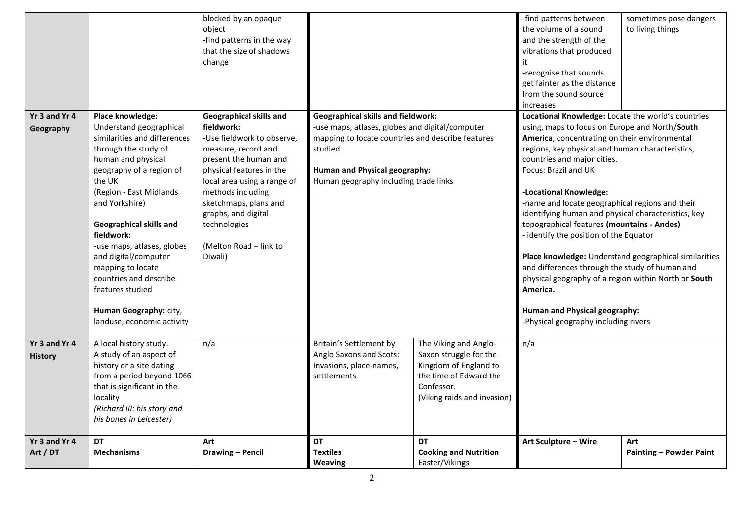| Yr 3 and Yr 4                   | Place knowledge:<br>Understand geographical                                                                                                                                                                                                                                                                                                                      | blocked by an opaque<br>object<br>-find patterns in the way<br>that the size of shadows<br>change<br>Geographical skills and<br>fieldwork:                                                                                                                      |                                                                                                                                                                                                                                        |                                                                                                                                                 | -find patterns between<br>the volume of a sound<br>and the strength of the<br>vibrations that produced<br>it<br>-recognise that sounds<br>get fainter as the distance<br>from the sound source<br>increases<br>Locational Knowledge: Locate the world's countries<br>using, maps to focus on Europe and North/South                                                                                                                                                                                                                         | sometimes pose dangers<br>to living things            |
|---------------------------------|------------------------------------------------------------------------------------------------------------------------------------------------------------------------------------------------------------------------------------------------------------------------------------------------------------------------------------------------------------------|-----------------------------------------------------------------------------------------------------------------------------------------------------------------------------------------------------------------------------------------------------------------|----------------------------------------------------------------------------------------------------------------------------------------------------------------------------------------------------------------------------------------|-------------------------------------------------------------------------------------------------------------------------------------------------|---------------------------------------------------------------------------------------------------------------------------------------------------------------------------------------------------------------------------------------------------------------------------------------------------------------------------------------------------------------------------------------------------------------------------------------------------------------------------------------------------------------------------------------------|-------------------------------------------------------|
| Geography                       | similarities and differences<br>through the study of<br>human and physical<br>geography of a region of<br>the UK<br>(Region - East Midlands<br>and Yorkshire)<br><b>Geographical skills and</b><br>fieldwork:<br>-use maps, atlases, globes<br>and digital/computer<br>mapping to locate<br>countries and describe<br>features studied<br>Human Geography: city, | -Use fieldwork to observe,<br>measure, record and<br>present the human and<br>physical features in the<br>local area using a range of<br>methods including<br>sketchmaps, plans and<br>graphs, and digital<br>technologies<br>(Melton Road - link to<br>Diwali) | <b>Geographical skills and fieldwork:</b><br>-use maps, atlases, globes and digital/computer<br>mapping to locate countries and describe features<br>studied<br>Human and Physical geography:<br>Human geography including trade links |                                                                                                                                                 | America, concentrating on their environmental<br>regions, key physical and human characteristics,<br>countries and major cities.<br>Focus: Brazil and UK<br>-Locational Knowledge:<br>-name and locate geographical regions and their<br>identifying human and physical characteristics, key<br>topographical features (mountains - Andes)<br>- identify the position of the Equator<br>and differences through the study of human and<br>physical geography of a region within North or South<br>America.<br>Human and Physical geography: | Place knowledge: Understand geographical similarities |
| Yr 3 and Yr 4<br><b>History</b> | landuse, economic activity<br>A local history study.<br>A study of an aspect of<br>history or a site dating<br>from a period beyond 1066<br>that is significant in the<br>locality<br>(Richard III: his story and<br>his bones in Leicester)                                                                                                                     | n/a                                                                                                                                                                                                                                                             | Britain's Settlement by<br>Anglo Saxons and Scots:<br>Invasions, place-names,<br>settlements                                                                                                                                           | The Viking and Anglo-<br>Saxon struggle for the<br>Kingdom of England to<br>the time of Edward the<br>Confessor.<br>(Viking raids and invasion) | -Physical geography including rivers<br>n/a                                                                                                                                                                                                                                                                                                                                                                                                                                                                                                 |                                                       |
| Yr 3 and Yr 4<br>Art / DT       | <b>DT</b><br><b>Mechanisms</b>                                                                                                                                                                                                                                                                                                                                   | Art<br>Drawing - Pencil                                                                                                                                                                                                                                         | <b>DT</b><br><b>Textiles</b><br><b>Weaving</b>                                                                                                                                                                                         | <b>DT</b><br><b>Cooking and Nutrition</b><br>Easter/Vikings                                                                                     | Art Sculpture - Wire                                                                                                                                                                                                                                                                                                                                                                                                                                                                                                                        | Art<br><b>Painting - Powder Paint</b>                 |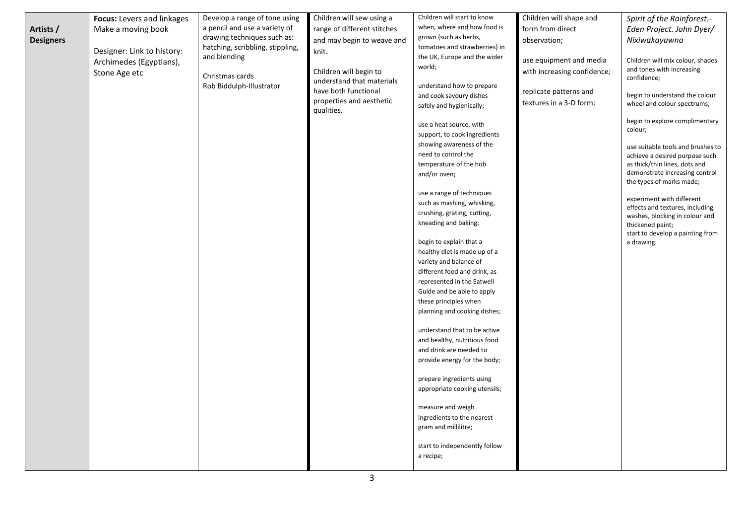|                  | Focus: Levers and linkages | Develop a range of tone using    | Children will sew using a   | Children will start to know                                | Children will shape and     | Spirit of the Rainforest.-                                        |
|------------------|----------------------------|----------------------------------|-----------------------------|------------------------------------------------------------|-----------------------------|-------------------------------------------------------------------|
| Artists /        | Make a moving book         | a pencil and use a variety of    | range of different stitches | when, where and how food is                                | form from direct            | Eden Project. John Dyer/                                          |
| <b>Designers</b> |                            | drawing techniques such as:      | and may begin to weave and  | grown (such as herbs,                                      | observation;                | Nixiwakayawna                                                     |
|                  | Designer: Link to history: | hatching, scribbling, stippling, | knit.                       | tomatoes and strawberries) in                              |                             |                                                                   |
|                  | Archimedes (Egyptians),    | and blending                     |                             | the UK, Europe and the wider                               | use equipment and media     | Children will mix colour, shades                                  |
|                  | Stone Age etc              | Christmas cards                  | Children will begin to      | world;                                                     | with increasing confidence; | and tones with increasing                                         |
|                  |                            | Rob Biddulph-Illustrator         | understand that materials   | understand how to prepare                                  |                             | confidence;                                                       |
|                  |                            |                                  | have both functional        | and cook savoury dishes                                    | replicate patterns and      | begin to understand the colour                                    |
|                  |                            |                                  | properties and aesthetic    | safely and hygienically;                                   | textures in a 3-D form;     | wheel and colour spectrums;                                       |
|                  |                            |                                  | qualities.                  |                                                            |                             |                                                                   |
|                  |                            |                                  |                             | use a heat source, with                                    |                             | begin to explore complimentary<br>colour;                         |
|                  |                            |                                  |                             | support, to cook ingredients                               |                             |                                                                   |
|                  |                            |                                  |                             | showing awareness of the                                   |                             | use suitable tools and brushes to                                 |
|                  |                            |                                  |                             | need to control the                                        |                             | achieve a desired purpose such                                    |
|                  |                            |                                  |                             | temperature of the hob                                     |                             | as thick/thin lines, dots and<br>demonstrate increasing control   |
|                  |                            |                                  |                             | and/or oven;                                               |                             | the types of marks made;                                          |
|                  |                            |                                  |                             | use a range of techniques                                  |                             |                                                                   |
|                  |                            |                                  |                             | such as mashing, whisking,                                 |                             | experiment with different                                         |
|                  |                            |                                  |                             | crushing, grating, cutting,                                |                             | effects and textures, including<br>washes, blocking in colour and |
|                  |                            |                                  |                             | kneading and baking;                                       |                             | thickened paint;                                                  |
|                  |                            |                                  |                             |                                                            |                             | start to develop a painting from                                  |
|                  |                            |                                  |                             | begin to explain that a                                    |                             | a drawing.                                                        |
|                  |                            |                                  |                             | healthy diet is made up of a                               |                             |                                                                   |
|                  |                            |                                  |                             | variety and balance of                                     |                             |                                                                   |
|                  |                            |                                  |                             | different food and drink, as<br>represented in the Eatwell |                             |                                                                   |
|                  |                            |                                  |                             | Guide and be able to apply                                 |                             |                                                                   |
|                  |                            |                                  |                             | these principles when                                      |                             |                                                                   |
|                  |                            |                                  |                             | planning and cooking dishes;                               |                             |                                                                   |
|                  |                            |                                  |                             |                                                            |                             |                                                                   |
|                  |                            |                                  |                             | understand that to be active                               |                             |                                                                   |
|                  |                            |                                  |                             | and healthy, nutritious food                               |                             |                                                                   |
|                  |                            |                                  |                             | and drink are needed to<br>provide energy for the body;    |                             |                                                                   |
|                  |                            |                                  |                             |                                                            |                             |                                                                   |
|                  |                            |                                  |                             | prepare ingredients using                                  |                             |                                                                   |
|                  |                            |                                  |                             | appropriate cooking utensils;                              |                             |                                                                   |
|                  |                            |                                  |                             |                                                            |                             |                                                                   |
|                  |                            |                                  |                             | measure and weigh                                          |                             |                                                                   |
|                  |                            |                                  |                             | ingredients to the nearest<br>gram and millilitre;         |                             |                                                                   |
|                  |                            |                                  |                             |                                                            |                             |                                                                   |
|                  |                            |                                  |                             | start to independently follow                              |                             |                                                                   |
|                  |                            |                                  |                             | a recipe;                                                  |                             |                                                                   |
|                  |                            |                                  |                             |                                                            |                             |                                                                   |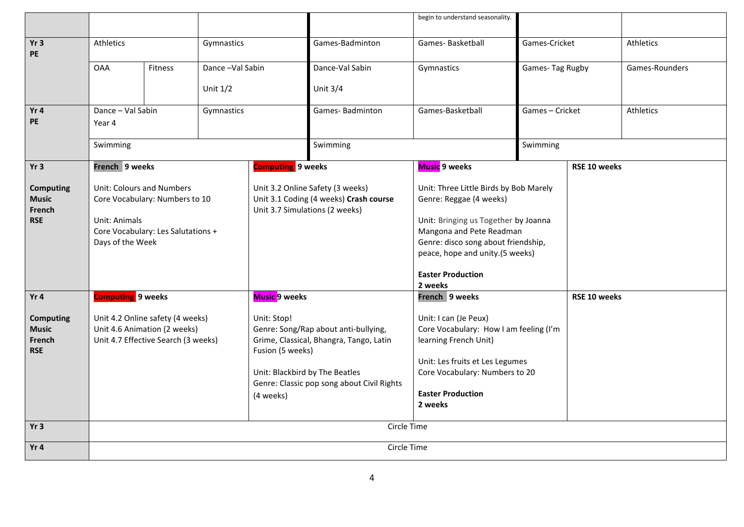|                                                          |                                                                                                         |         |                                                                                                                    |                                     |                                                                                                                                       | begin to understand seasonality.                                                                              |                 |              |                |
|----------------------------------------------------------|---------------------------------------------------------------------------------------------------------|---------|--------------------------------------------------------------------------------------------------------------------|-------------------------------------|---------------------------------------------------------------------------------------------------------------------------------------|---------------------------------------------------------------------------------------------------------------|-----------------|--------------|----------------|
| Yr <sub>3</sub><br>PE                                    | Athletics<br>Gymnastics                                                                                 |         |                                                                                                                    | Games-Badminton                     | Games-Basketball                                                                                                                      | Games-Cricket                                                                                                 |                 | Athletics    |                |
|                                                          | <b>OAA</b>                                                                                              | Fitness | Dance-Val Sabin                                                                                                    |                                     | Dance-Val Sabin                                                                                                                       | Gymnastics                                                                                                    | Games-Tag Rugby |              | Games-Rounders |
|                                                          |                                                                                                         |         | Unit $1/2$                                                                                                         |                                     | Unit $3/4$                                                                                                                            |                                                                                                               |                 |              |                |
| Yr4<br><b>PE</b>                                         | Dance - Val Sabin<br>Year 4                                                                             |         | Gymnastics                                                                                                         | Games-Badminton                     |                                                                                                                                       | Games-Basketball                                                                                              | Games-Cricket   |              | Athletics      |
|                                                          | Swimming                                                                                                |         |                                                                                                                    |                                     | Swimming                                                                                                                              | Swimming                                                                                                      |                 |              |                |
| Yr3                                                      | French 9 weeks                                                                                          |         |                                                                                                                    | <b>Computing</b> 9 weeks            |                                                                                                                                       | <b>Music</b> 9 weeks                                                                                          |                 | RSE 10 weeks |                |
| <b>Computing</b><br><b>Music</b><br>French<br><b>RSE</b> | Unit: Colours and Numbers<br>Core Vocabulary: Numbers to 10<br>Unit: Animals                            |         | Unit 3.2 Online Safety (3 weeks)<br>Unit 3.1 Coding (4 weeks) Crash course<br>Unit 3.7 Simulations (2 weeks)       |                                     | Unit: Three Little Birds by Bob Marely<br>Genre: Reggae (4 weeks)<br>Unit: Bringing us Together by Joanna<br>Mangona and Pete Readman |                                                                                                               |                 |              |                |
|                                                          | Core Vocabulary: Les Salutations +<br>Days of the Week                                                  |         |                                                                                                                    |                                     |                                                                                                                                       | Genre: disco song about friendship,<br>peace, hope and unity.(5 weeks)<br><b>Easter Production</b><br>2 weeks |                 |              |                |
| Yr4                                                      | <b>Computing</b> 9 weeks                                                                                |         | <b>Music 9 weeks</b>                                                                                               |                                     | French 9 weeks                                                                                                                        |                                                                                                               | RSE 10 weeks    |              |                |
| <b>Computing</b><br><b>Music</b><br>French<br><b>RSE</b> | Unit 4.2 Online safety (4 weeks)<br>Unit 4.6 Animation (2 weeks)<br>Unit 4.7 Effective Search (3 weeks) |         | Unit: Stop!<br>Genre: Song/Rap about anti-bullying,<br>Grime, Classical, Bhangra, Tango, Latin<br>Fusion (5 weeks) |                                     | Unit: I can (Je Peux)<br>Core Vocabulary: How I am feeling (I'm<br>learning French Unit)<br>Unit: Les fruits et Les Legumes           |                                                                                                               |                 |              |                |
|                                                          | Unit: Blackbird by The Beatles<br>Genre: Classic pop song about Civil Rights<br>(4 weeks)               |         |                                                                                                                    |                                     | Core Vocabulary: Numbers to 20                                                                                                        |                                                                                                               |                 |              |                |
|                                                          |                                                                                                         |         |                                                                                                                    | <b>Easter Production</b><br>2 weeks |                                                                                                                                       |                                                                                                               |                 |              |                |
| Yr3                                                      |                                                                                                         |         |                                                                                                                    |                                     | Circle Time                                                                                                                           |                                                                                                               |                 |              |                |
| Yr4                                                      | Circle Time                                                                                             |         |                                                                                                                    |                                     |                                                                                                                                       |                                                                                                               |                 |              |                |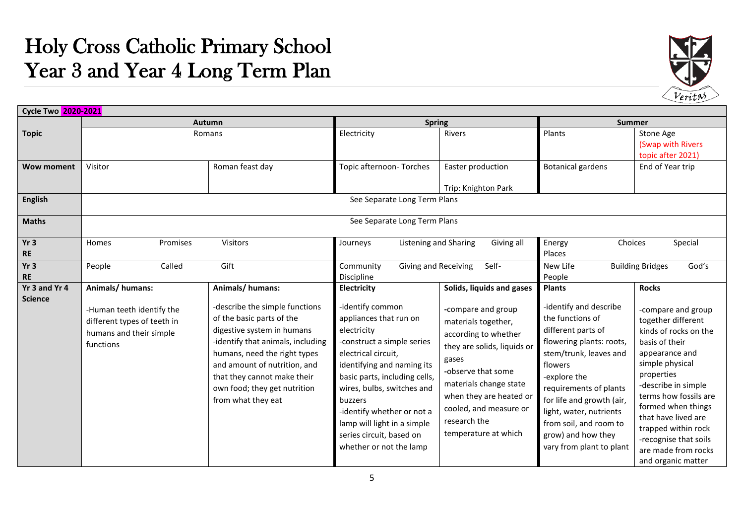## Holy Cross Catholic Primary School Year 3 and Year 4 Long Term Plan



| Cycle Two 2020-2021             |                                                                                                                     |                                                                                                                                                                                                                                                                                                        |                                                                                                                                                                                                                                                                                                                                                           |                                                                                                                                                                                                                                                                                     |                                                                                                                                                                                                                                                                                                                                  |                                                                                                                                                                                                                                                                                                                                                  |
|---------------------------------|---------------------------------------------------------------------------------------------------------------------|--------------------------------------------------------------------------------------------------------------------------------------------------------------------------------------------------------------------------------------------------------------------------------------------------------|-----------------------------------------------------------------------------------------------------------------------------------------------------------------------------------------------------------------------------------------------------------------------------------------------------------------------------------------------------------|-------------------------------------------------------------------------------------------------------------------------------------------------------------------------------------------------------------------------------------------------------------------------------------|----------------------------------------------------------------------------------------------------------------------------------------------------------------------------------------------------------------------------------------------------------------------------------------------------------------------------------|--------------------------------------------------------------------------------------------------------------------------------------------------------------------------------------------------------------------------------------------------------------------------------------------------------------------------------------------------|
|                                 |                                                                                                                     | Autumn                                                                                                                                                                                                                                                                                                 | <b>Spring</b>                                                                                                                                                                                                                                                                                                                                             |                                                                                                                                                                                                                                                                                     | <b>Summer</b>                                                                                                                                                                                                                                                                                                                    |                                                                                                                                                                                                                                                                                                                                                  |
| <b>Topic</b>                    |                                                                                                                     | Romans                                                                                                                                                                                                                                                                                                 |                                                                                                                                                                                                                                                                                                                                                           | <b>Rivers</b>                                                                                                                                                                                                                                                                       | Plants                                                                                                                                                                                                                                                                                                                           | Stone Age<br>(Swap with Rivers<br>topic after 2021)                                                                                                                                                                                                                                                                                              |
| <b>Wow moment</b>               | Visitor                                                                                                             | Roman feast day                                                                                                                                                                                                                                                                                        | Topic afternoon-Torches                                                                                                                                                                                                                                                                                                                                   | Easter production<br>Trip: Knighton Park                                                                                                                                                                                                                                            | <b>Botanical gardens</b>                                                                                                                                                                                                                                                                                                         | End of Year trip                                                                                                                                                                                                                                                                                                                                 |
| <b>English</b>                  |                                                                                                                     |                                                                                                                                                                                                                                                                                                        | See Separate Long Term Plans                                                                                                                                                                                                                                                                                                                              |                                                                                                                                                                                                                                                                                     |                                                                                                                                                                                                                                                                                                                                  |                                                                                                                                                                                                                                                                                                                                                  |
| <b>Maths</b>                    |                                                                                                                     |                                                                                                                                                                                                                                                                                                        | See Separate Long Term Plans                                                                                                                                                                                                                                                                                                                              |                                                                                                                                                                                                                                                                                     |                                                                                                                                                                                                                                                                                                                                  |                                                                                                                                                                                                                                                                                                                                                  |
| Yr3<br><b>RE</b>                | Homes<br>Promises                                                                                                   | Visitors                                                                                                                                                                                                                                                                                               | <b>Listening and Sharing</b><br>Journeys                                                                                                                                                                                                                                                                                                                  | Giving all                                                                                                                                                                                                                                                                          | Energy<br>Choices<br>Places                                                                                                                                                                                                                                                                                                      | Special                                                                                                                                                                                                                                                                                                                                          |
| Yr3<br><b>RE</b>                | Called<br>People                                                                                                    | Gift                                                                                                                                                                                                                                                                                                   | Community<br>Giving and Receiving<br>Discipline                                                                                                                                                                                                                                                                                                           | Self-                                                                                                                                                                                                                                                                               | New Life<br>People                                                                                                                                                                                                                                                                                                               | God's<br><b>Building Bridges</b>                                                                                                                                                                                                                                                                                                                 |
| Yr 3 and Yr 4<br><b>Science</b> | Animals/humans:<br>-Human teeth identify the<br>different types of teeth in<br>humans and their simple<br>functions | Animals/humans:<br>-describe the simple functions<br>of the basic parts of the<br>digestive system in humans<br>-identify that animals, including<br>humans, need the right types<br>and amount of nutrition, and<br>that they cannot make their<br>own food; they get nutrition<br>from what they eat | Electricity<br>-identify common<br>appliances that run on<br>electricity<br>-construct a simple series<br>electrical circuit,<br>identifying and naming its<br>basic parts, including cells,<br>wires, bulbs, switches and<br>buzzers<br>-identify whether or not a<br>lamp will light in a simple<br>series circuit, based on<br>whether or not the lamp | Solids, liquids and gases<br>-compare and group<br>materials together,<br>according to whether<br>they are solids, liquids or<br>gases<br>-observe that some<br>materials change state<br>when they are heated or<br>cooled, and measure or<br>research the<br>temperature at which | <b>Plants</b><br>-identify and describe<br>the functions of<br>different parts of<br>flowering plants: roots,<br>stem/trunk, leaves and<br>flowers<br>-explore the<br>requirements of plants<br>for life and growth (air,<br>light, water, nutrients<br>from soil, and room to<br>grow) and how they<br>vary from plant to plant | <b>Rocks</b><br>-compare and group<br>together different<br>kinds of rocks on the<br>basis of their<br>appearance and<br>simple physical<br>properties<br>-describe in simple<br>terms how fossils are<br>formed when things<br>that have lived are<br>trapped within rock<br>-recognise that soils<br>are made from rocks<br>and organic matter |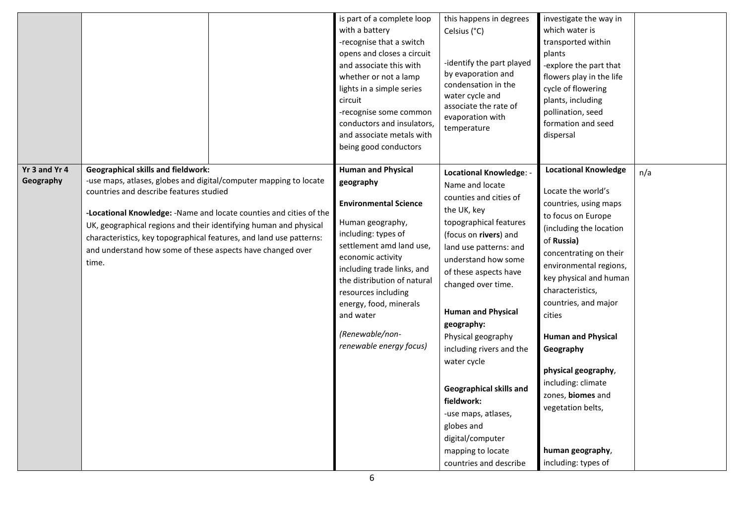|                            |                                                                                                                                                                                                                                                                                                                                                                              |                                                                     | is part of a complete loop<br>with a battery<br>-recognise that a switch<br>opens and closes a circuit<br>and associate this with<br>whether or not a lamp<br>lights in a simple series<br>circuit<br>-recognise some common<br>conductors and insulators,<br>and associate metals with<br>being good conductors                            | this happens in degrees<br>Celsius (°C)<br>-identify the part played<br>by evaporation and<br>condensation in the<br>water cycle and<br>associate the rate of<br>evaporation with<br>temperature                                                                                                                                                                                                                                                                                                           | investigate the way in<br>which water is<br>transported within<br>plants<br>-explore the part that<br>flowers play in the life<br>cycle of flowering<br>plants, including<br>pollination, seed<br>formation and seed<br>dispersal                                                                                                                                                                                                                         |     |
|----------------------------|------------------------------------------------------------------------------------------------------------------------------------------------------------------------------------------------------------------------------------------------------------------------------------------------------------------------------------------------------------------------------|---------------------------------------------------------------------|---------------------------------------------------------------------------------------------------------------------------------------------------------------------------------------------------------------------------------------------------------------------------------------------------------------------------------------------|------------------------------------------------------------------------------------------------------------------------------------------------------------------------------------------------------------------------------------------------------------------------------------------------------------------------------------------------------------------------------------------------------------------------------------------------------------------------------------------------------------|-----------------------------------------------------------------------------------------------------------------------------------------------------------------------------------------------------------------------------------------------------------------------------------------------------------------------------------------------------------------------------------------------------------------------------------------------------------|-----|
| Yr 3 and Yr 4<br>Geography | <b>Geographical skills and fieldwork:</b><br>-use maps, atlases, globes and digital/computer mapping to locate<br>countries and describe features studied<br>UK, geographical regions and their identifying human and physical<br>characteristics, key topographical features, and land use patterns:<br>and understand how some of these aspects have changed over<br>time. | -Locational Knowledge: - Name and locate counties and cities of the | <b>Human and Physical</b><br>geography<br><b>Environmental Science</b><br>Human geography,<br>including: types of<br>settlement amd land use,<br>economic activity<br>including trade links, and<br>the distribution of natural<br>resources including<br>energy, food, minerals<br>and water<br>(Renewable/non-<br>renewable energy focus) | <b>Locational Knowledge: -</b><br>Name and locate<br>counties and cities of<br>the UK, key<br>topographical features<br>(focus on rivers) and<br>land use patterns: and<br>understand how some<br>of these aspects have<br>changed over time.<br><b>Human and Physical</b><br>geography:<br>Physical geography<br>including rivers and the<br>water cycle<br>Geographical skills and<br>fieldwork:<br>-use maps, atlases,<br>globes and<br>digital/computer<br>mapping to locate<br>countries and describe | <b>Locational Knowledge</b><br>Locate the world's<br>countries, using maps<br>to focus on Europe<br>(including the location<br>of Russia)<br>concentrating on their<br>environmental regions,<br>key physical and human<br>characteristics,<br>countries, and major<br>cities<br><b>Human and Physical</b><br>Geography<br>physical geography,<br>including: climate<br>zones, biomes and<br>vegetation belts,<br>human geography,<br>including: types of | n/a |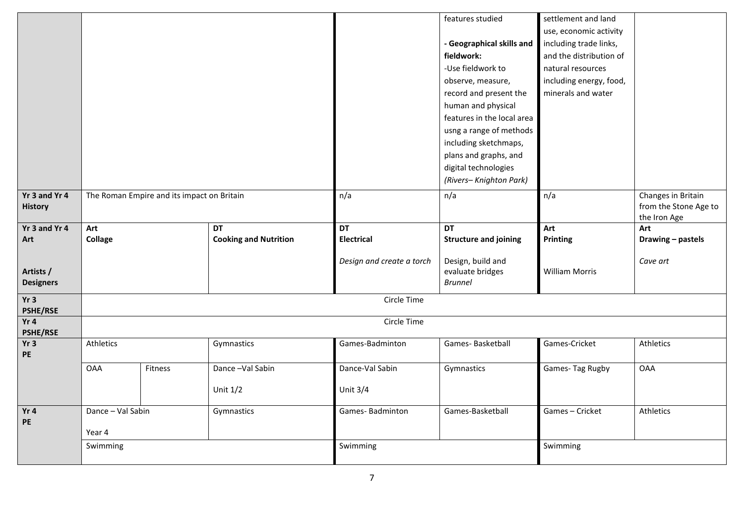|                               |                   |                                            |                              |                           | features studied                   | settlement and land     |                       |
|-------------------------------|-------------------|--------------------------------------------|------------------------------|---------------------------|------------------------------------|-------------------------|-----------------------|
|                               |                   |                                            |                              |                           |                                    | use, economic activity  |                       |
|                               |                   |                                            |                              |                           | - Geographical skills and          | including trade links,  |                       |
|                               |                   |                                            |                              |                           | fieldwork:                         | and the distribution of |                       |
|                               |                   |                                            |                              |                           | -Use fieldwork to                  | natural resources       |                       |
|                               |                   |                                            |                              |                           | observe, measure,                  | including energy, food, |                       |
|                               |                   |                                            |                              |                           | record and present the             | minerals and water      |                       |
|                               |                   |                                            |                              |                           | human and physical                 |                         |                       |
|                               |                   |                                            |                              |                           | features in the local area         |                         |                       |
|                               |                   |                                            |                              |                           | usng a range of methods            |                         |                       |
|                               |                   |                                            |                              |                           | including sketchmaps,              |                         |                       |
|                               |                   |                                            |                              |                           | plans and graphs, and              |                         |                       |
|                               |                   |                                            |                              |                           | digital technologies               |                         |                       |
|                               |                   |                                            |                              |                           | (Rivers-Knighton Park)             |                         |                       |
| Yr 3 and Yr 4                 |                   | The Roman Empire and its impact on Britain |                              | n/a                       | n/a                                | n/a                     | Changes in Britain    |
| <b>History</b>                |                   |                                            |                              |                           |                                    |                         | from the Stone Age to |
|                               |                   |                                            |                              |                           |                                    |                         | the Iron Age          |
| Yr 3 and Yr 4                 | Art               |                                            | <b>DT</b>                    | DT                        | <b>DT</b>                          | Art                     | Art                   |
|                               |                   |                                            | <b>Cooking and Nutrition</b> | <b>Electrical</b>         | <b>Structure and joining</b>       | Printing                | Drawing - pastels     |
| Art                           | <b>Collage</b>    |                                            |                              |                           |                                    |                         |                       |
|                               |                   |                                            |                              |                           |                                    |                         |                       |
|                               |                   |                                            |                              | Design and create a torch | Design, build and                  | <b>William Morris</b>   | Cave art              |
| Artists /<br><b>Designers</b> |                   |                                            |                              |                           | evaluate bridges<br><b>Brunnel</b> |                         |                       |
|                               |                   |                                            |                              |                           |                                    |                         |                       |
| Yr3<br><b>PSHE/RSE</b>        |                   |                                            |                              | Circle Time               |                                    |                         |                       |
| Yr 4                          |                   |                                            |                              | Circle Time               |                                    |                         |                       |
| <b>PSHE/RSE</b>               |                   |                                            |                              |                           |                                    |                         |                       |
| Yr3                           | Athletics         |                                            | Gymnastics                   | Games-Badminton           | Games-Basketball                   | Games-Cricket           | Athletics             |
| PE                            |                   |                                            |                              |                           |                                    |                         |                       |
|                               | <b>OAA</b>        | Fitness                                    | Dance-Val Sabin              | Dance-Val Sabin           | Gymnastics                         | Games-Tag Rugby         | <b>OAA</b>            |
|                               |                   |                                            |                              |                           |                                    |                         |                       |
|                               |                   |                                            | Unit $1/2$                   | Unit $3/4$                |                                    |                         |                       |
| Yr4                           | Dance - Val Sabin |                                            | Gymnastics                   | Games-Badminton           | Games-Basketball                   | Games-Cricket           | Athletics             |
| PE                            |                   |                                            |                              |                           |                                    |                         |                       |
|                               | Year 4            |                                            |                              |                           |                                    |                         |                       |
|                               | Swimming          |                                            |                              | Swimming                  |                                    | Swimming                |                       |